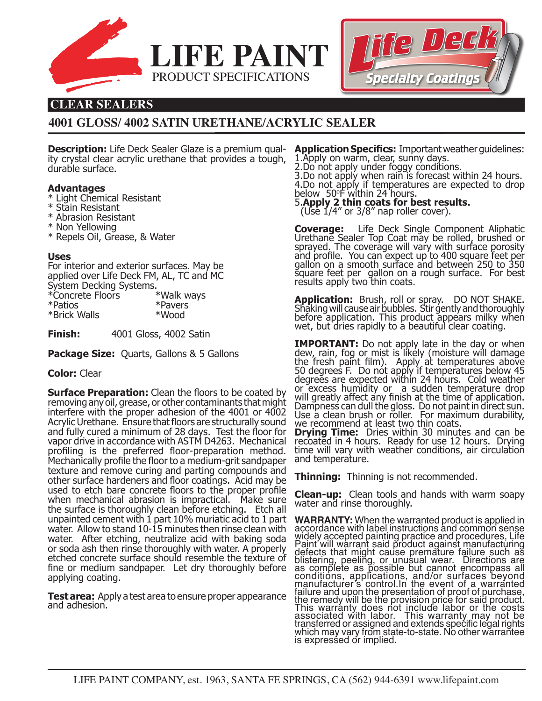



# **CLEAR SEALERS**

# **4001 GLOSS/ 4002 SATIN URETHANE/ACRYLIC SEALER**

**Description:** Life Deck Sealer Glaze is a premium quality crystal clear acrylic urethane that provides a tough, durable surface.

## **Advantages**

- \* Light Chemical Resistant
- \* Stain Resistant
- \* Abrasion Resistant
- \* Non Yellowing
- \* Repels Oil, Grease, & Water

#### **Uses**

For interior and exterior surfaces. May be applied over Life Deck FM, AL, TC and MC System Decking Systems. \*Concrete Floors \*Walk ways \*Patios \*Pavers

| *Brick Walls | *Wood |  |
|--------------|-------|--|
|              |       |  |

**Finish:** 4001 Gloss, 4002 Satin

**Package Size:** Quarts, Gallons & 5 Gallons

## **Color:** Clear

**Surface Preparation:** Clean the floors to be coated by removing any oil, grease, or other contaminants that might interfere with the proper adhesion of the 4001 or 4002 Acrylic Urethane. Ensure that floors are structurally sound and fully cured a minimum of 28 days. Test the floor for vapor drive in accordance with ASTM D4263. Mechanical profiling is the preferred floor-preparation method. Mechanically profile the floor to a medium-grit sandpaper texture and remove curing and parting compounds and other surface hardeners and floor coatings. Acid may be used to etch bare concrete floors to the proper profile when mechanical abrasion is impractical. Make sure the surface is thoroughly clean before etching. Etch all unpainted cement with 1 part 10% muriatic acid to 1 part water. Allow to stand 10-15 minutes then rinse clean with water. After etching, neutralize acid with baking soda or soda ash then rinse thoroughly with water. A properly etched concrete surface should resemble the texture of fine or medium sandpaper. Let dry thoroughly before applying coating.

**Test area:** Apply a test area to ensure proper appearance and adhesion.

**Application Specifics:** Important weather guidelines: 1.Apply on warm, clear, sunny days. 2.Do not apply under foggy conditions.

3.Do not apply when rain is forecast within 24 hours. 4.Do not apply if temperatures are expected to drop below 50o F within 24 hours. 5.**Apply 2 thin coats for best results.** 

(Use 1/4" or 3/8" nap roller cover).

**Coverage:** Life Deck Single Component Aliphatic<br>Urethane Sealer Top Coat may be rolled, brushed or sprayed. The coverage will vary with surface porosity and profile. You can expect up to 400 square feet per gallon on a smooth surface and between 250 to 350 square feet per gallon on a rough surface. For best results apply two thin coats.

**Application:** Brush, roll or spray. DO NOT SHAKE. Shaking will cause air bubbles. Stir gently and thoroughly before application. This product appears milky when wet, but dries rapidly to a beautiful clear coating.

**IMPORTANT:** Do not apply late in the day or when<br>dew, rain, fog or mist is likely (moisture will damage the fresh paint film). Apply at temperatures above 50 degrees F. Do nót apply if temperatures below 45 degrees are expected within 24 hours. Cold weather or excess humidity or a sudden temperature drop will greatly affect any finish at the time of application. Dampness can dull the gloss. Do not paint in direct sun. Use a clean brush or roller. For maximum durability, we recommend at least two thin coats.

**Drying Time:** Dries within 30 minutes and can be recoated in 4 hours. Ready for use 12 hours. Drying time will vary with weather conditions, air circulation and temperature.

**Thinning:** Thinning is not recommended.

**Clean-up:** Clean tools and hands with warm soapy water and rinse thoroughly.

**WARRANTY:** When the warranted product is applied in<br>accordance with label instructions and common sense widely accepted painting practice and procedures, Life Paint will warrant said product against manufacturing defects that might cause premature failure such as blistering, peeliñg, or unusual wear. Directions are as complete as possible but cannot encompass all conditions, applications, and/or surfaces beyond manufacturer's control.In the event of a warranted failure and upon the presentation of proof of purchase, the remedy will be the provision price for said product. This warranty does not include labor or the costs associated with labor. This warranty may not be transferred or assigned and extends specific legal rights which may vary from state-to-state. No other warrantee is expressed or implied.